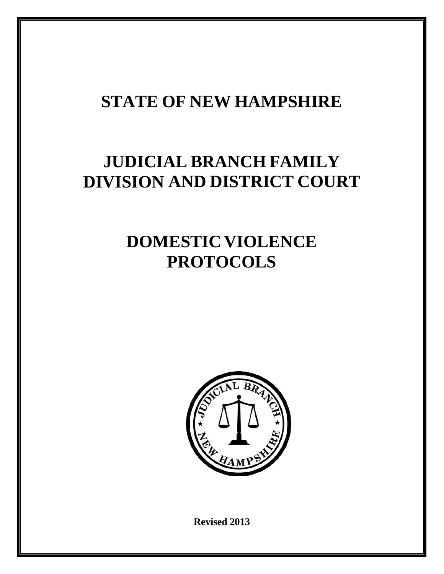## **STATE OF NEW HAMPSHIRE**

# **JUDICIAL BRANCH FAMILY DIVISION AND DISTRICT COURT**

## **DOMESTIC VIOLENCE PROTOCOLS**



**Revised 2013**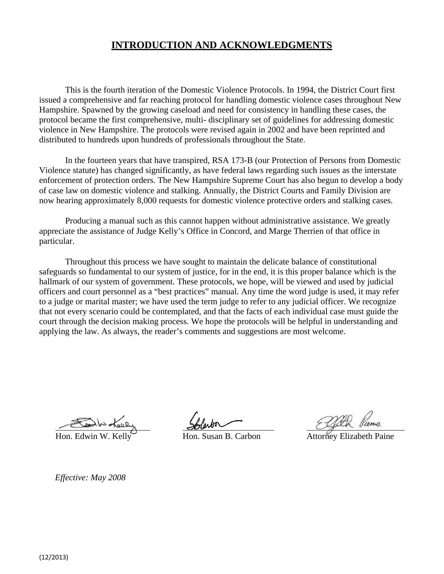## **INTRODUCTION AND ACKNOWLEDGMENTS**

This is the fourth iteration of the Domestic Violence Protocols. In 1994, the District Court first issued a comprehensive and far reaching protocol for handling domestic violence cases throughout New Hampshire. Spawned by the growing caseload and need for consistency in handling these cases, the protocol became the first comprehensive, multi- disciplinary set of guidelines for addressing domestic violence in New Hampshire. The protocols were revised again in 2002 and have been reprinted and distributed to hundreds upon hundreds of professionals throughout the State.

In the fourteen years that have transpired, RSA 173-B (our Protection of Persons from Domestic Violence statute) has changed significantly, as have federal laws regarding such issues as the interstate enforcement of protection orders. The New Hampshire Supreme Court has also begun to develop a body of case law on domestic violence and stalking. Annually, the District Courts and Family Division are now hearing approximately 8,000 requests for domestic violence protective orders and stalking cases.

Producing a manual such as this cannot happen without administrative assistance. We greatly appreciate the assistance of Judge Kelly's Office in Concord, and Marge Therrien of that office in particular.

Throughout this process we have sought to maintain the delicate balance of constitutional safeguards so fundamental to our system of justice, for in the end, it is this proper balance which is the hallmark of our system of government. These protocols, we hope, will be viewed and used by judicial officers and court personnel as a "best practices" manual. Any time the word judge is used, it may refer to a judge or marital master; we have used the term judge to refer to any judicial officer. We recognize that not every scenario could be contemplated, and that the facts of each individual case must guide the court through the decision making process. We hope the protocols will be helpful in understanding and applying the law. As always, the reader's comments and suggestions are most welcome.

Hon. Susan B. Carbon Attorney Elizabeth Paine

*Effective: May 2008*